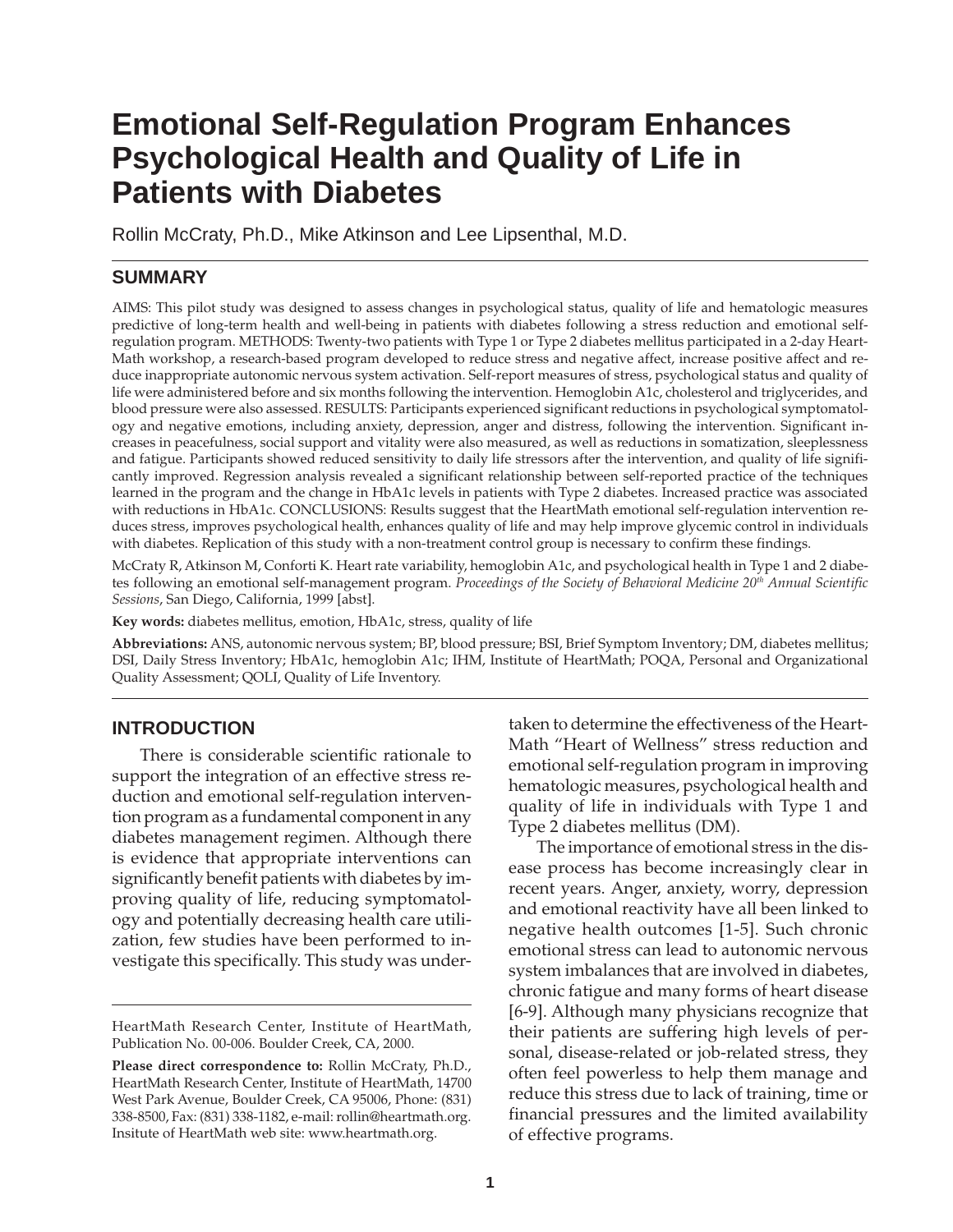# **Emotional Self-Regulation Program Enhances Psychological Health and Quality of Life in Patients with Diabetes**

Rollin McCraty, Ph.D., Mike Atkinson and Lee Lipsenthal, M.D.

# **SUMMARY**

AIMS: This pilot study was designed to assess changes in psychological status, quality of life and hematologic measures predictive of long-term health and well-being in patients with diabetes following a stress reduction and emotional selfregulation program. METHODS: Twenty-two patients with Type 1 or Type 2 diabetes mellitus participated in a 2-day Heart-Math workshop, a research-based program developed to reduce stress and negative affect, increase positive affect and reduce inappropriate autonomic nervous system activation. Self-report measures of stress, psychological status and quality of life were administered before and six months following the intervention. Hemoglobin A1c, cholesterol and triglycerides, and blood pressure were also assessed. RESULTS: Participants experienced significant reductions in psychological symptomatology and negative emotions, including anxiety, depression, anger and distress, following the intervention. Significant increases in peacefulness, social support and vitality were also measured, as well as reductions in somatization, sleeplessness and fatigue. Participants showed reduced sensitivity to daily life stressors after the intervention, and quality of life significantly improved. Regression analysis revealed a significant relationship between self-reported practice of the techniques learned in the program and the change in HbA1c levels in patients with Type 2 diabetes. Increased practice was associated with reductions in HbA1c. CONCLUSIONS: Results suggest that the HeartMath emotional self-regulation intervention reduces stress, improves psychological health, enhances quality of life and may help improve glycemic control in individuals with diabetes. Replication of this study with a non-treatment control group is necessary to confirm these findings.

McCraty R, Atkinson M, Conforti K. Heart rate variability, hemoglobin A1c, and psychological health in Type 1 and 2 diabetes following an emotional self-management program. *Proceedings of the Society of Behavioral Medicine 20th Annual Scientific Sessions*, San Diego, California, 1999 [abst].

**Key words:** diabetes mellitus, emotion, HbA1c, stress, quality of life

**Abbreviations:** ANS, autonomic nervous system; BP, blood pressure; BSI, Brief Symptom Inventory; DM, diabetes mellitus; DSI, Daily Stress Inventory; HbA1c, hemoglobin A1c; IHM, Institute of HeartMath; POQA, Personal and Organizational Quality Assessment; QOLI, Quality of Life Inventory.

# **INTRODUCTION**

There is considerable scientific rationale to support the integration of an effective stress reduction and emotional self-regulation intervention program as a fundamental component in any diabetes management regimen. Although there is evidence that appropriate interventions can significantly benefit patients with diabetes by improving quality of life, reducing symptomatology and potentially decreasing health care utilization, few studies have been performed to investigate this specifically. This study was undertaken to determine the effectiveness of the Heart-Math "Heart of Wellness" stress reduction and emotional self-regulation program in improving hematologic measures, psychological health and quality of life in individuals with Type 1 and Type 2 diabetes mellitus (DM).

The importance of emotional stress in the disease process has become increasingly clear in recent years. Anger, anxiety, worry, depression and emotional reactivity have all been linked to negative health outcomes [1-5]. Such chronic emotional stress can lead to autonomic nervous system imbalances that are involved in diabetes, chronic fatigue and many forms of heart disease [6-9]. Although many physicians recognize that their patients are suffering high levels of personal, disease-related or job-related stress, they often feel powerless to help them manage and reduce this stress due to lack of training, time or financial pressures and the limited availability of effective programs.

HeartMath Research Center, Institute of HeartMath, Publication No. 00-006. Boulder Creek, CA, 2000.

**Please direct correspondence to:** Rollin McCraty, Ph.D., HeartMath Research Center, Institute of HeartMath, 14700 West Park Avenue, Boulder Creek, CA 95006, Phone: (831) 338-8500, Fax: (831) 338-1182, e-mail: rollin@heartmath.org. Insitute of HeartMath web site: www.heartmath.org.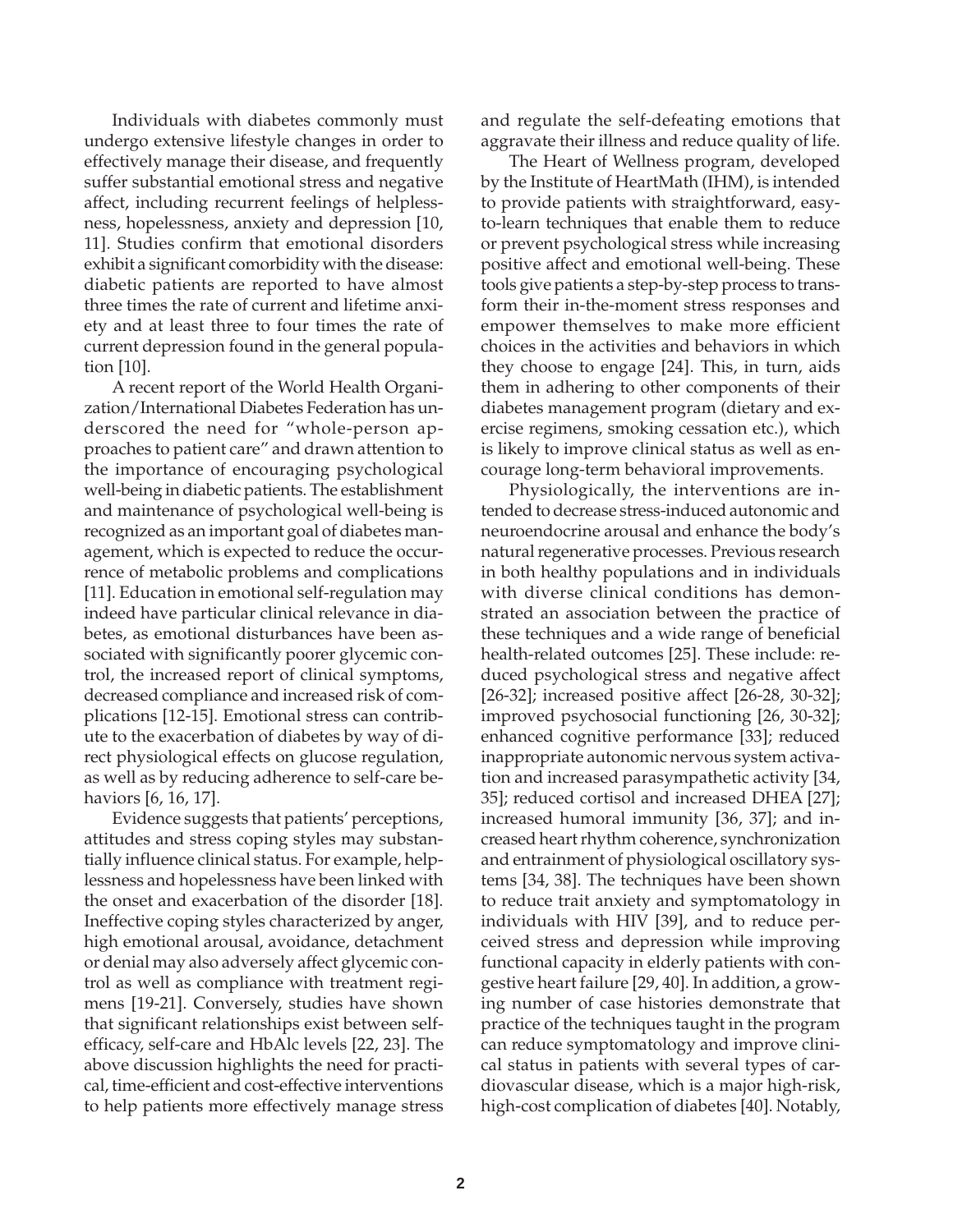Individuals with diabetes commonly must undergo extensive lifestyle changes in order to effectively manage their disease, and frequently suffer substantial emotional stress and negative affect, including recurrent feelings of helplessness, hopelessness, anxiety and depression [10, 11]. Studies confirm that emotional disorders exhibit a significant comorbidity with the disease: diabetic patients are reported to have almost three times the rate of current and lifetime anxiety and at least three to four times the rate of current depression found in the general population [10].

A recent report of the World Health Organization/International Diabetes Federation has underscored the need for "whole-person approaches to patient care" and drawn attention to the importance of encouraging psychological well-being in diabetic patients. The establishment and maintenance of psychological well-being is recognized as an important goal of diabetes management, which is expected to reduce the occurrence of metabolic problems and complications [11]. Education in emotional self-regulation may indeed have particular clinical relevance in diabetes, as emotional disturbances have been associated with significantly poorer glycemic control, the increased report of clinical symptoms, decreased compliance and increased risk of complications [12-15]. Emotional stress can contribute to the exacerbation of diabetes by way of direct physiological effects on glucose regulation, as well as by reducing adherence to self-care behaviors [6, 16, 17].

Evidence suggests that patients' perceptions, attitudes and stress coping styles may substantially influence clinical status. For example, helplessness and hopelessness have been linked with the onset and exacerbation of the disorder [18]. Ineffective coping styles characterized by anger, high emotional arousal, avoidance, detachment or denial may also adversely affect glycemic control as well as compliance with treatment regimens [19-21]. Conversely, studies have shown that significant relationships exist between selfefficacy, self-care and HbAlc levels [22, 23]. The above discussion highlights the need for practical, time-efficient and cost-effective interventions to help patients more effectively manage stress

and regulate the self-defeating emotions that aggravate their illness and reduce quality of life.

The Heart of Wellness program, developed by the Institute of HeartMath (IHM), is intended to provide patients with straightforward, easyto-learn techniques that enable them to reduce or prevent psychological stress while increasing positive affect and emotional well-being. These tools give patients a step-by-step process to transform their in-the-moment stress responses and empower themselves to make more efficient choices in the activities and behaviors in which they choose to engage [24]. This, in turn, aids them in adhering to other components of their diabetes management program (dietary and exercise regimens, smoking cessation etc.), which is likely to improve clinical status as well as encourage long-term behavioral improvements.

Physiologically, the interventions are intended to decrease stress-induced autonomic and neuroendocrine arousal and enhance the body's natural regenerative processes. Previous research in both healthy populations and in individuals with diverse clinical conditions has demonstrated an association between the practice of these techniques and a wide range of beneficial health-related outcomes [25]. These include: reduced psychological stress and negative affect [26-32]; increased positive affect [26-28, 30-32]; improved psychosocial functioning [26, 30-32]; enhanced cognitive performance [33]; reduced inappropriate autonomic nervous system activation and increased parasympathetic activity [34, 35]; reduced cortisol and increased DHEA [27]; increased humoral immunity [36, 37]; and increased heart rhythm coherence, synchronization and entrainment of physiological oscillatory systems [34, 38]. The techniques have been shown to reduce trait anxiety and symptomatology in individuals with HIV [39], and to reduce perceived stress and depression while improving functional capacity in elderly patients with congestive heart failure [29, 40]. In addition, a growing number of case histories demonstrate that practice of the techniques taught in the program can reduce symptomatology and improve clinical status in patients with several types of cardiovascular disease, which is a major high-risk, high-cost complication of diabetes [40]. Notably,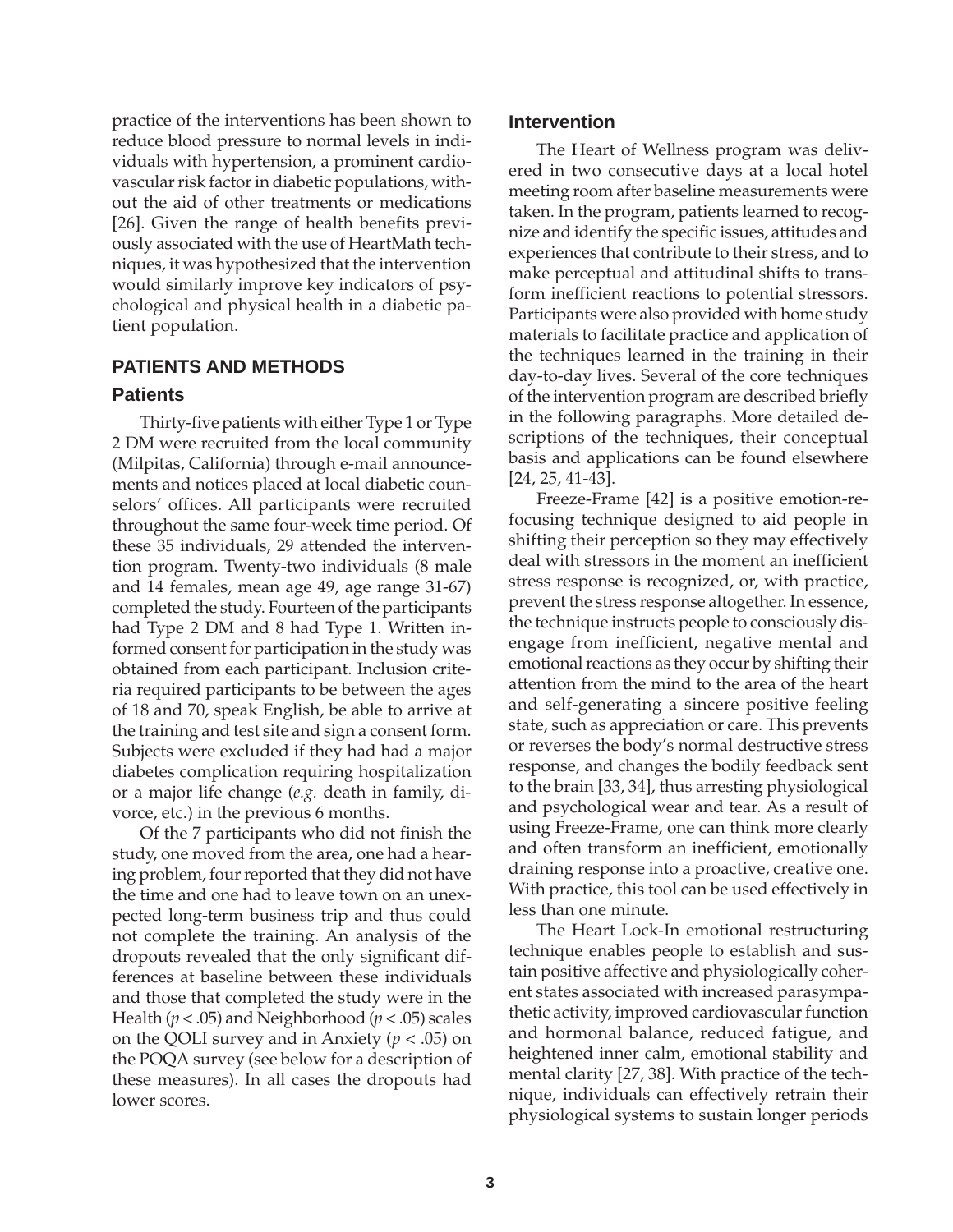practice of the interventions has been shown to reduce blood pressure to normal levels in individuals with hypertension, a prominent cardiovascular risk factor in diabetic populations, without the aid of other treatments or medications [26]. Given the range of health benefits previously associated with the use of HeartMath techniques, it was hypothesized that the intervention would similarly improve key indicators of psychological and physical health in a diabetic patient population.

# **PATIENTS AND METHODS**

# **Patients**

Thirty-five patients with either Type 1 or Type 2 DM were recruited from the local community (Milpitas, California) through e-mail announcements and notices placed at local diabetic counselors' offices. All participants were recruited throughout the same four-week time period. Of these 35 individuals, 29 attended the intervention program. Twenty-two individuals (8 male and 14 females, mean age 49, age range 31-67) completed the study. Fourteen of the participants had Type 2 DM and 8 had Type 1. Written informed consent for participation in the study was obtained from each participant. Inclusion criteria required participants to be between the ages of 18 and 70, speak English, be able to arrive at the training and test site and sign a consent form. Subjects were excluded if they had had a major diabetes complication requiring hospitalization or a major life change (*e.g.* death in family, divorce, etc.) in the previous 6 months.

Of the 7 participants who did not finish the study, one moved from the area, one had a hearing problem, four reported that they did not have the time and one had to leave town on an unexpected long-term business trip and thus could not complete the training. An analysis of the dropouts revealed that the only significant differences at baseline between these individuals and those that completed the study were in the Health (*p* < .05) and Neighborhood (*p* < .05) scales on the QOLI survey and in Anxiety (*p* < .05) on the POQA survey (see below for a description of these measures). In all cases the dropouts had lower scores.

## **Intervention**

The Heart of Wellness program was delivered in two consecutive days at a local hotel meeting room after baseline measurements were taken. In the program, patients learned to recognize and identify the specific issues, attitudes and experiences that contribute to their stress, and to make perceptual and attitudinal shifts to transform inefficient reactions to potential stressors. Participants were also provided with home study materials to facilitate practice and application of the techniques learned in the training in their day-to-day lives. Several of the core techniques of the intervention program are described briefly in the following paragraphs. More detailed descriptions of the techniques, their conceptual basis and applications can be found elsewhere [24, 25, 41-43].

Freeze-Frame [42] is a positive emotion-refocusing technique designed to aid people in shifting their perception so they may effectively deal with stressors in the moment an inefficient stress response is recognized, or, with practice, prevent the stress response altogether. In essence, the technique instructs people to consciously disengage from inefficient, negative mental and emotional reactions as they occur by shifting their attention from the mind to the area of the heart and self-generating a sincere positive feeling state, such as appreciation or care. This prevents or reverses the body's normal destructive stress response, and changes the bodily feedback sent to the brain [33, 34], thus arresting physiological and psychological wear and tear. As a result of using Freeze-Frame, one can think more clearly and often transform an inefficient, emotionally draining response into a proactive, creative one. With practice, this tool can be used effectively in less than one minute.

The Heart Lock-In emotional restructuring technique enables people to establish and sustain positive affective and physiologically coherent states associated with increased parasympathetic activity, improved cardiovascular function and hormonal balance, reduced fatigue, and heightened inner calm, emotional stability and mental clarity [27, 38]. With practice of the technique, individuals can effectively retrain their physiological systems to sustain longer periods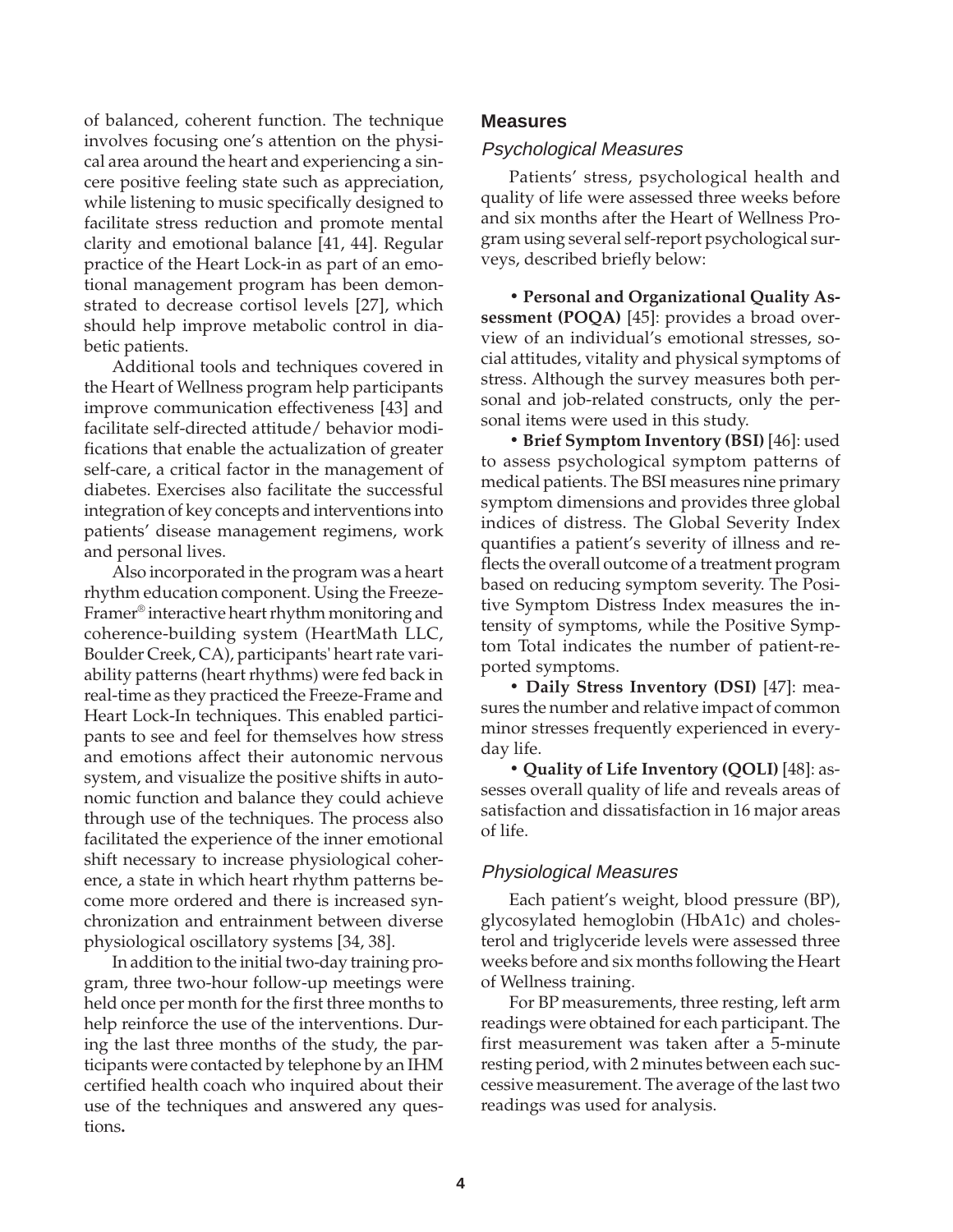of balanced, coherent function. The technique involves focusing one's attention on the physical area around the heart and experiencing a sincere positive feeling state such as appreciation, while listening to music specifically designed to facilitate stress reduction and promote mental clarity and emotional balance [41, 44]. Regular practice of the Heart Lock-in as part of an emotional management program has been demonstrated to decrease cortisol levels [27], which should help improve metabolic control in diabetic patients.

Additional tools and techniques covered in the Heart of Wellness program help participants improve communication effectiveness [43] and facilitate self-directed attitude/ behavior modifications that enable the actualization of greater self-care, a critical factor in the management of diabetes. Exercises also facilitate the successful integration of key concepts and interventions into patients' disease management regimens, work and personal lives.

Also incorporated in the program was a heart rhythm education component. Using the Freeze-Framer® interactive heart rhythm monitoring and coherence-building system (HeartMath LLC, Boulder Creek, CA), participants' heart rate variability patterns (heart rhythms) were fed back in real-time as they practiced the Freeze-Frame and Heart Lock-In techniques. This enabled participants to see and feel for themselves how stress and emotions affect their autonomic nervous system, and visualize the positive shifts in autonomic function and balance they could achieve through use of the techniques. The process also facilitated the experience of the inner emotional shift necessary to increase physiological coherence, a state in which heart rhythm patterns become more ordered and there is increased synchronization and entrainment between diverse physiological oscillatory systems [34, 38].

In addition to the initial two-day training program, three two-hour follow-up meetings were held once per month for the first three months to help reinforce the use of the interventions. During the last three months of the study, the participants were contacted by telephone by an IHM certified health coach who inquired about their use of the techniques and answered any questions**.**

## **Measures**

#### Psychological Measures

Patients' stress, psychological health and quality of life were assessed three weeks before and six months after the Heart of Wellness Program using several self-report psychological surveys, described briefly below:

**ï Personal and Organizational Quality Assessment (POQA)** [45]: provides a broad overview of an individual's emotional stresses, social attitudes, vitality and physical symptoms of stress. Although the survey measures both personal and job-related constructs, only the personal items were used in this study.

**ï Brief Symptom Inventory (BSI)** [46]: used to assess psychological symptom patterns of medical patients. The BSI measures nine primary symptom dimensions and provides three global indices of distress. The Global Severity Index quantifies a patient's severity of illness and reflects the overall outcome of a treatment program based on reducing symptom severity. The Positive Symptom Distress Index measures the intensity of symptoms, while the Positive Symptom Total indicates the number of patient-reported symptoms.

**ï Daily Stress Inventory (DSI)** [47]: measures the number and relative impact of common minor stresses frequently experienced in everyday life.

**ï Quality of Life Inventory (QOLI)** [48]: assesses overall quality of life and reveals areas of satisfaction and dissatisfaction in 16 major areas of life.

#### Physiological Measures

Each patient's weight, blood pressure (BP), glycosylated hemoglobin (HbA1c) and cholesterol and triglyceride levels were assessed three weeks before and six months following the Heart of Wellness training.

For BP measurements, three resting, left arm readings were obtained for each participant. The first measurement was taken after a 5-minute resting period, with 2 minutes between each successive measurement. The average of the last two readings was used for analysis.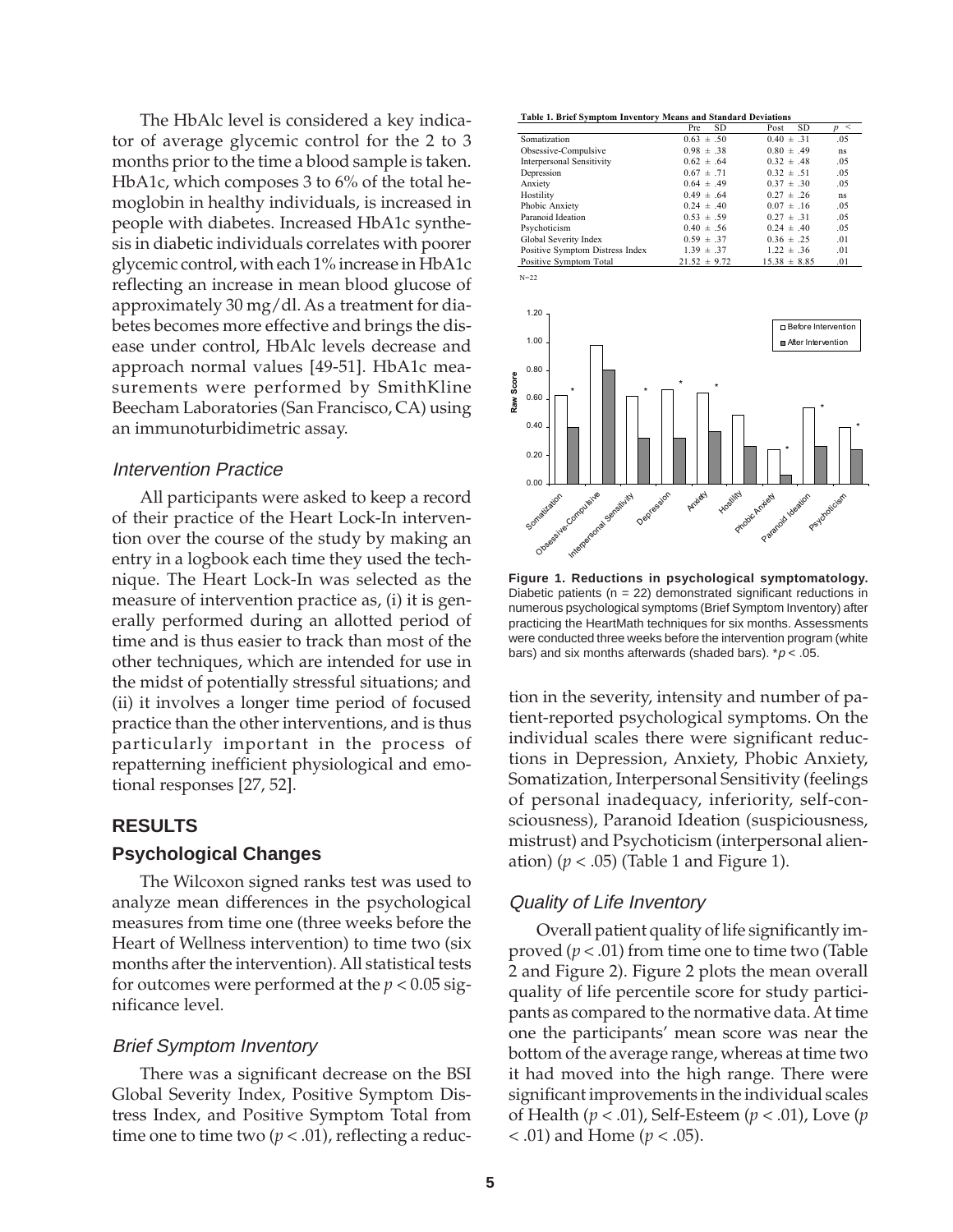The HbAlc level is considered a key indicator of average glycemic control for the 2 to 3 months prior to the time a blood sample is taken. HbA1c, which composes 3 to 6% of the total hemoglobin in healthy individuals, is increased in people with diabetes. Increased HbA1c synthesis in diabetic individuals correlates with poorer glycemic control, with each 1% increase in HbA1c reflecting an increase in mean blood glucose of approximately 30 mg/dl. As a treatment for diabetes becomes more effective and brings the disease under control, HbAlc levels decrease and approach normal values [49-51]. HbA1c measurements were performed by SmithKline Beecham Laboratories (San Francisco, CA) using an immunoturbidimetric assay.

## Intervention Practice

All participants were asked to keep a record of their practice of the Heart Lock-In intervention over the course of the study by making an entry in a logbook each time they used the technique. The Heart Lock-In was selected as the measure of intervention practice as, (i) it is generally performed during an allotted period of time and is thus easier to track than most of the other techniques, which are intended for use in the midst of potentially stressful situations; and (ii) it involves a longer time period of focused practice than the other interventions, and is thus particularly important in the process of repatterning inefficient physiological and emotional responses [27, 52].

## **RESULTS**

# **Psychological Changes**

The Wilcoxon signed ranks test was used to analyze mean differences in the psychological measures from time one (three weeks before the Heart of Wellness intervention) to time two (six months after the intervention). All statistical tests for outcomes were performed at the  $p < 0.05$  significance level.

#### Brief Symptom Inventory

There was a significant decrease on the BSI Global Severity Index, Positive Symptom Distress Index, and Positive Symptom Total from time one to time two  $(p < .01)$ , reflecting a reduc-

**Table 1. Brief Symptom Inventory Means and Standard Deviations**

 $N=22$ 

|                                  | <b>SD</b><br>Pre | <b>SD</b><br>Post | p < |
|----------------------------------|------------------|-------------------|-----|
| Somatization                     | $0.63 \pm .50$   | $0.40 \pm .31$    | .05 |
| Obsessive-Compulsive             | $0.98 \pm .38$   | $0.80 \pm .49$    | ns. |
| <b>Interpersonal Sensitivity</b> | $0.62 \pm .64$   | $0.32 \pm .48$    | .05 |
| Depression                       | $0.67 \pm .71$   | $0.32 \pm .51$    | .05 |
| Anxiety                          | $0.64 \pm .49$   | $0.37 \pm .30$    | .05 |
| Hostility                        | $0.49 \pm .64$   | $0.27 \pm .26$    | ns. |
| Phobic Anxiety                   | $0.24 \pm .40$   | $0.07 \pm .16$    | .05 |
| Paranoid Ideation                | $0.53 \pm .59$   | $0.27 \pm .31$    | .05 |
| Psychoticism                     | $0.40 \pm .56$   | $0.24 \pm .40$    | .05 |
| Global Severity Index            | $0.59 \pm .37$   | $0.36 \pm .25$    | .01 |
| Positive Symptom Distress Index  | $1.39 \pm .37$   | $1.22 \pm .36$    | .01 |
| Positive Symptom Total           | $21.52 \pm 9.72$ | $15.38 \pm 8.85$  | .01 |



**Figure 1. Reductions in psychological symptomatology.** Diabetic patients ( $n = 22$ ) demonstrated significant reductions in numerous psychological symptoms (Brief Symptom Inventory) after practicing the HeartMath techniques for six months. Assessments were conducted three weeks before the intervention program (white bars) and six months afterwards (shaded bars).  $p < .05$ .

tion in the severity, intensity and number of patient-reported psychological symptoms. On the individual scales there were significant reductions in Depression, Anxiety, Phobic Anxiety, Somatization, Interpersonal Sensitivity (feelings of personal inadequacy, inferiority, self-consciousness), Paranoid Ideation (suspiciousness, mistrust) and Psychoticism (interpersonal alienation)  $(p < .05)$  (Table 1 and Figure 1).

# Quality of Life Inventory

Overall patient quality of life significantly improved (*p* < .01) from time one to time two (Table 2 and Figure 2). Figure 2 plots the mean overall quality of life percentile score for study participants as compared to the normative data. At time one the participants' mean score was near the bottom of the average range, whereas at time two it had moved into the high range. There were significant improvements in the individual scales of Health (*p* < .01), Self-Esteem (*p* < .01), Love (*p* < .01) and Home (*p* < .05).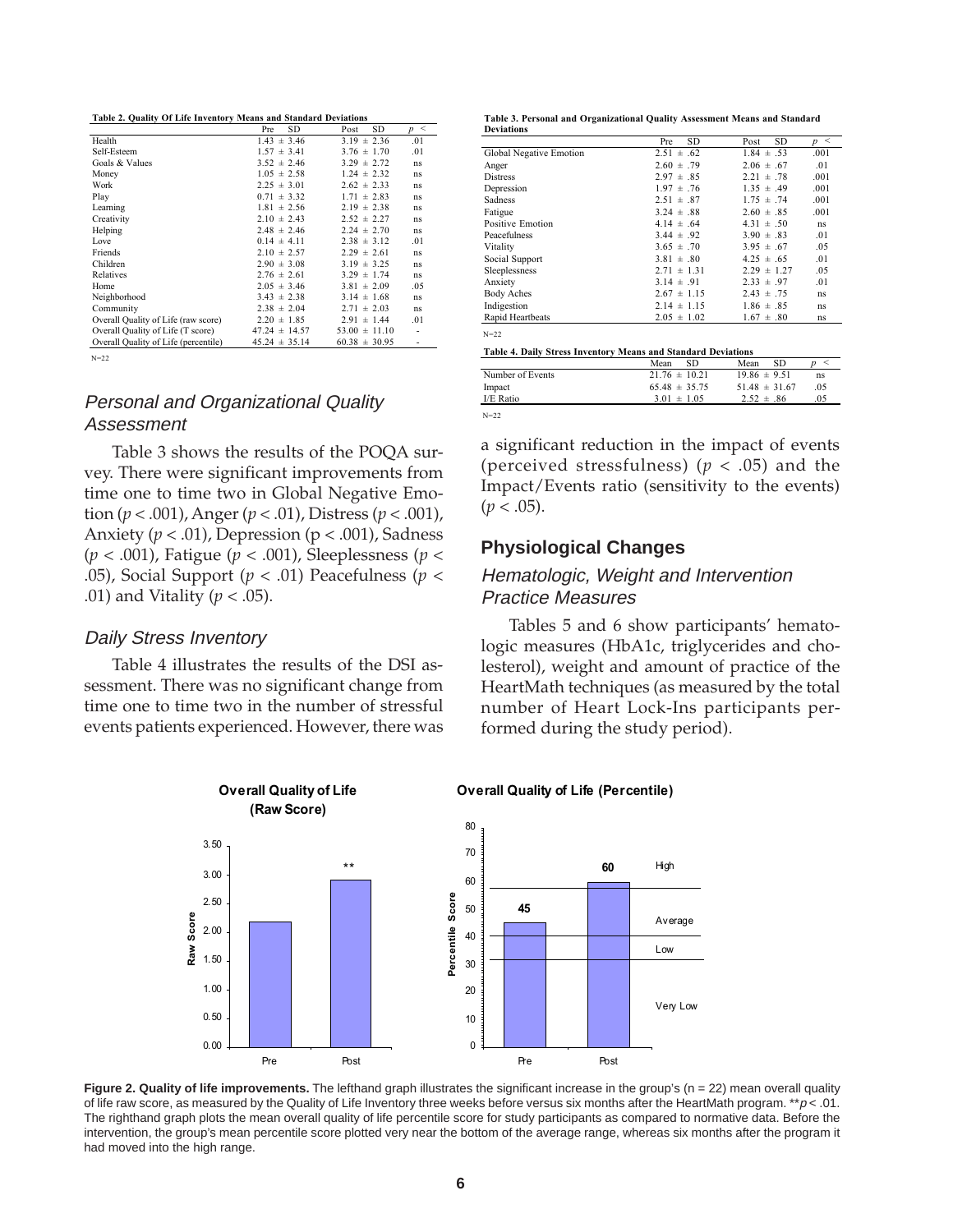| Table 2. Quality Of Life Inventory Means and Standard Deviations |
|------------------------------------------------------------------|
|------------------------------------------------------------------|

|                                      | SD<br>Pre         | <b>SD</b><br>Post | p < |
|--------------------------------------|-------------------|-------------------|-----|
| Health                               | $1.43 \pm 3.46$   | $3.19 \pm 2.36$   | .01 |
| Self-Esteem                          | $1.57 \pm 3.41$   | $3.76 \pm 1.70$   | .01 |
| Goals & Values                       | $3.52 \pm 2.46$   | $3.29 \pm 2.72$   | ns  |
| Money                                | $1.05 \pm 2.58$   | $1.24 \pm 2.32$   | ns  |
| Work                                 | $2.25 \pm 3.01$   | $2.62 \pm 2.33$   | ns  |
| Play                                 | $0.71 \pm 3.32$   | $1.71 \pm 2.83$   | ns  |
| Learning                             | $1.81 \pm 2.56$   | $2.19 \pm 2.38$   | ns  |
| Creativity                           | $2.10 \pm 2.43$   | $2.52 \pm 2.27$   | ns  |
| Helping                              | $2.48 \pm 2.46$   | $2.24 \pm 2.70$   | ns  |
| Love                                 | $0.14 \pm 4.11$   | $2.38 \pm 3.12$   | .01 |
| Friends                              | $2.10 \pm 2.57$   | $2.29 \pm 2.61$   | ns  |
| Children                             | $2.90 \pm 3.08$   | $3.19 \pm 3.25$   | ns  |
| Relatives                            | $2.76 \pm 2.61$   | $3.29 \pm 1.74$   | ns  |
| Home                                 | $2.05 \pm 3.46$   | $3.81 \pm 2.09$   | .05 |
| Neighborhood                         | $3.43 \pm 2.38$   | $3.14 \pm 1.68$   | ns  |
| Community                            | $2.38 \pm 2.04$   | $2.71 \pm 2.03$   | ns  |
| Overall Quality of Life (raw score)  | $2.20 \pm 1.85$   | $2.91 \pm 1.44$   | .01 |
| Overall Quality of Life (T score)    | $47.24 \pm 14.57$ | $53.00 \pm 11.10$ |     |
| Overall Quality of Life (percentile) | $45.24 \pm 35.14$ | $60.38 \pm 30.95$ |     |
|                                      |                   |                   |     |

N=22

# Personal and Organizational Quality Assessment

Table 3 shows the results of the POQA survey. There were significant improvements from time one to time two in Global Negative Emotion (*p* < .001), Anger (*p* < .01), Distress (*p* < .001), Anxiety (*p* < .01), Depression (p < .001), Sadness (*p* < .001), Fatigue (*p* < .001), Sleeplessness (*p* < .05), Social Support (*p* < .01) Peacefulness (*p* < .01) and Vitality (*p* < .05).

### Daily Stress Inventory

Table 4 illustrates the results of the DSI assessment. There was no significant change from time one to time two in the number of stressful events patients experienced. However, there was **Table 3. Personal and Organizational Quality Assessment Means and Standard Deviations**

|                         | SD<br>Pre       | <b>SD</b><br>Post | p <  |
|-------------------------|-----------------|-------------------|------|
| Global Negative Emotion | $2.51 \pm .62$  | $1.84 \pm .53$    | .001 |
| Anger                   | $2.60 \pm .79$  | $2.06 \pm .67$    | .01  |
| <b>Distress</b>         | $2.97 \pm .85$  | $2.21 \pm .78$    | .001 |
| Depression              | $1.97 \pm .76$  | $1.35 \pm .49$    | .001 |
| Sadness                 | $2.51 \pm .87$  | $1.75 \pm .74$    | .001 |
| Fatigue                 | $3.24 \pm .88$  | $2.60 \pm .85$    | .001 |
| Positive Emotion        | $4.14 \pm .64$  | $4.31 \pm .50$    | ns   |
| Peacefulness            | $3.44 \pm .92$  | $3.90 \pm .83$    | .01  |
| Vitality                | $3.65 \pm .70$  | $3.95 \pm .67$    | .05  |
| Social Support          | $3.81 \pm .80$  | $4.25 \pm .65$    | .01  |
| Sleeplessness           | $2.71 \pm 1.31$ | $2.29 \pm 1.27$   | .05  |
| Anxiety                 | $3.14 \pm .91$  | $2.33 \pm .97$    | .01  |
| <b>Body Aches</b>       | $2.67 \pm 1.15$ | $2.43 \pm .75$    | ns   |
| Indigestion             | $2.14 \pm 1.15$ | $1.86 \pm .85$    | ns   |
| Rapid Heartbeats        | $2.05 \pm 1.02$ | $1.67 \pm .80$    | ns   |
| $N = 2.2$               |                 |                   |      |

| Table 4. Daily Stress Inventory Means and Standard Deviations |  |  |  |
|---------------------------------------------------------------|--|--|--|
|                                                               |  |  |  |

|                  | SD.<br>Mean       | SD.<br>Mean       |     |
|------------------|-------------------|-------------------|-----|
| Number of Events | $21.76 \pm 10.21$ | $19.86 \pm 9.51$  | ns  |
| Impact           | $65.48 \pm 35.75$ | $51.48 \pm 31.67$ | .05 |
| I/E Ratio        | $3.01 \pm 1.05$   | $2.52 \pm .86$    | .05 |
| $N = 2.2$        |                   |                   |     |

a significant reduction in the impact of events (perceived stressfulness) (*p* < .05) and the Impact/Events ratio (sensitivity to the events)  $(p < .05)$ .

## **Physiological Changes**

# Hematologic, Weight and Intervention Practice Measures

Tables 5 and 6 show participants' hematologic measures (HbA1c, triglycerides and cholesterol), weight and amount of practice of the HeartMath techniques (as measured by the total number of Heart Lock-Ins participants performed during the study period).



**Figure 2. Quality of life improvements.** The lefthand graph illustrates the significant increase in the group's (n = 22) mean overall quality of life raw score, as measured by the Quality of Life Inventory three weeks before versus six months after the HeartMath program. \*\*p < .01. The righthand graph plots the mean overall quality of life percentile score for study participants as compared to normative data. Before the intervention, the group's mean percentile score plotted very near the bottom of the average range, whereas six months after the program it had moved into the high range.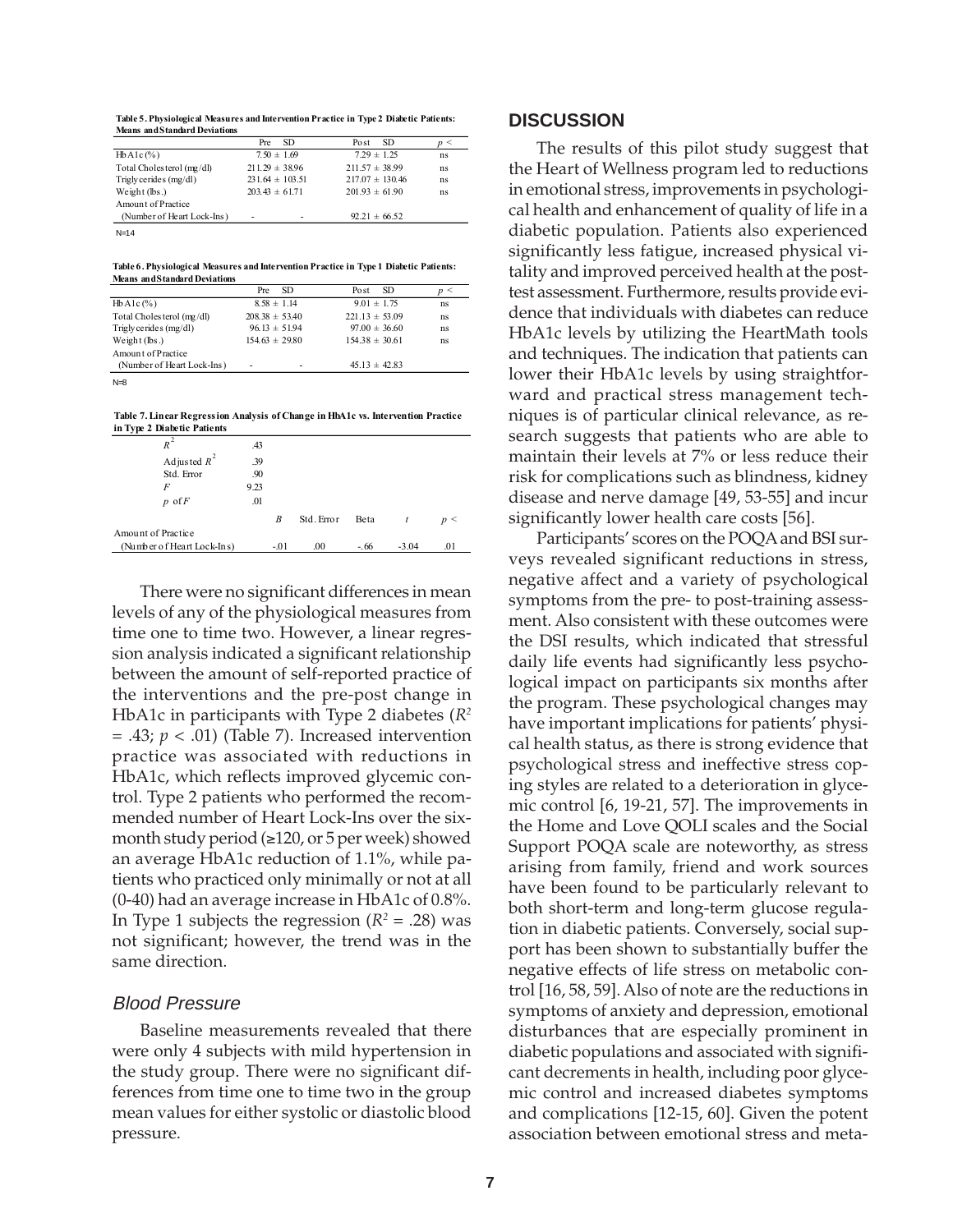**Table 5. Physiological Measures and Intervention Practice in Type 2 Diabetic Patients: Means and Standard Deviations**

|                            | SD.<br>Pre          | Po st               | SD. |    |
|----------------------------|---------------------|---------------------|-----|----|
| $HbA1c$ (%)                | $7.50 \pm 1.69$     | $7.29 \pm 1.25$     |     | ns |
| Total Cholesterol (mg/dl)  | $211.29 \pm 38.96$  | $211.57 \pm 38.99$  |     | ns |
| Trigly cerides $(mg/dl)$   | $231.64 \pm 103.51$ | $217.07 \pm 130.46$ |     | ns |
| Weight (lbs.)              | $203.43 \pm 61.71$  | $201.93 \pm 61.90$  |     | ns |
| Amount of Practice         |                     |                     |     |    |
| (Number of Heart Lock-Ins) | ۰                   | $92.21 \pm 66.52$   |     |    |
| $N-14$                     |                     |                     |     |    |

**Table 6. Physiological Measures and Intervention Practice in Type 1 Diabetic Patients: Means and Standard Deviations**

|                            | Pre | SD.                      | - SD<br>Po st      |    |
|----------------------------|-----|--------------------------|--------------------|----|
| $HbA1c$ $(\% )$            |     | $8.58 \pm 1.14$          | $9.01 \pm 1.75$    | ns |
| Total Cholesterol (mg/dl)  |     | $208.38 \pm 53.40$       | $221.13 \pm 53.09$ | ns |
| Trigly cerides $(mg/dl)$   |     | $96.13 \pm 51.94$        | $97.00 \pm 36.60$  | ns |
| Weight $(lbs.)$            |     | $154.63 \pm 29.80$       | $154.38 \pm 30.61$ | ns |
| Amount of Practice         |     |                          |                    |    |
| (Number of Heart Lock-Ins) |     | $\overline{\phantom{0}}$ | $45.13 \pm 42.83$  |    |
|                            |     |                          |                    |    |

 $N=8$ 

**Table 7. Linear Regression Analysis of Change in HbA1c vs. Intervention Practice in Type 2 Diabetic Patients**

| $\ln 1$ y pc $\lambda$ Diabcuc I auches |      |        |            |        |              |     |
|-----------------------------------------|------|--------|------------|--------|--------------|-----|
| $R^2$                                   | .43  |        |            |        |              |     |
| Adjusted $R^2$                          | .39  |        |            |        |              |     |
| Std. Error                              | .90  |        |            |        |              |     |
| F                                       | 9.23 |        |            |        |              |     |
| $p$ of $F$                              | .01  |        |            |        |              |     |
|                                         |      | B      | Std. Error | Beta   | $\mathbf{t}$ | p < |
| Amount of Practice                      |      |        |            |        |              |     |
| (Number of Heart Lock-Ins)              |      | $-.01$ | .00        | $-.66$ | $-3.04$      | .01 |
|                                         |      |        |            |        |              |     |

There were no significant differences in mean levels of any of the physiological measures from time one to time two. However, a linear regression analysis indicated a significant relationship between the amount of self-reported practice of the interventions and the pre-post change in HbA1c in participants with Type 2 diabetes (*R2*  $= .43; p < .01$ ) (Table 7). Increased intervention practice was associated with reductions in HbA1c, which reflects improved glycemic control. Type 2 patients who performed the recommended number of Heart Lock-Ins over the sixmonth study period (≥120, or 5 per week) showed an average HbA1c reduction of 1.1%, while patients who practiced only minimally or not at all (0-40) had an average increase in HbA1c of 0.8%. In Type 1 subjects the regression  $(R^2 = .28)$  was not significant; however, the trend was in the same direction.

# Blood Pressure

Baseline measurements revealed that there were only 4 subjects with mild hypertension in the study group. There were no significant differences from time one to time two in the group mean values for either systolic or diastolic blood pressure.

# **DISCUSSION**

The results of this pilot study suggest that the Heart of Wellness program led to reductions in emotional stress, improvements in psychological health and enhancement of quality of life in a diabetic population. Patients also experienced significantly less fatigue, increased physical vitality and improved perceived health at the posttest assessment. Furthermore, results provide evidence that individuals with diabetes can reduce HbA1c levels by utilizing the HeartMath tools and techniques. The indication that patients can lower their HbA1c levels by using straightforward and practical stress management techniques is of particular clinical relevance, as research suggests that patients who are able to maintain their levels at 7% or less reduce their risk for complications such as blindness, kidney disease and nerve damage [49, 53-55] and incur significantly lower health care costs [56].

Participants' scores on the POQA and BSI surveys revealed significant reductions in stress, negative affect and a variety of psychological symptoms from the pre- to post-training assessment. Also consistent with these outcomes were the DSI results, which indicated that stressful daily life events had significantly less psychological impact on participants six months after the program. These psychological changes may have important implications for patients' physical health status, as there is strong evidence that psychological stress and ineffective stress coping styles are related to a deterioration in glycemic control [6, 19-21, 57]. The improvements in the Home and Love QOLI scales and the Social Support POQA scale are noteworthy, as stress arising from family, friend and work sources have been found to be particularly relevant to both short-term and long-term glucose regulation in diabetic patients. Conversely, social support has been shown to substantially buffer the negative effects of life stress on metabolic control [16, 58, 59]. Also of note are the reductions in symptoms of anxiety and depression, emotional disturbances that are especially prominent in diabetic populations and associated with significant decrements in health, including poor glycemic control and increased diabetes symptoms and complications [12-15, 60]. Given the potent association between emotional stress and meta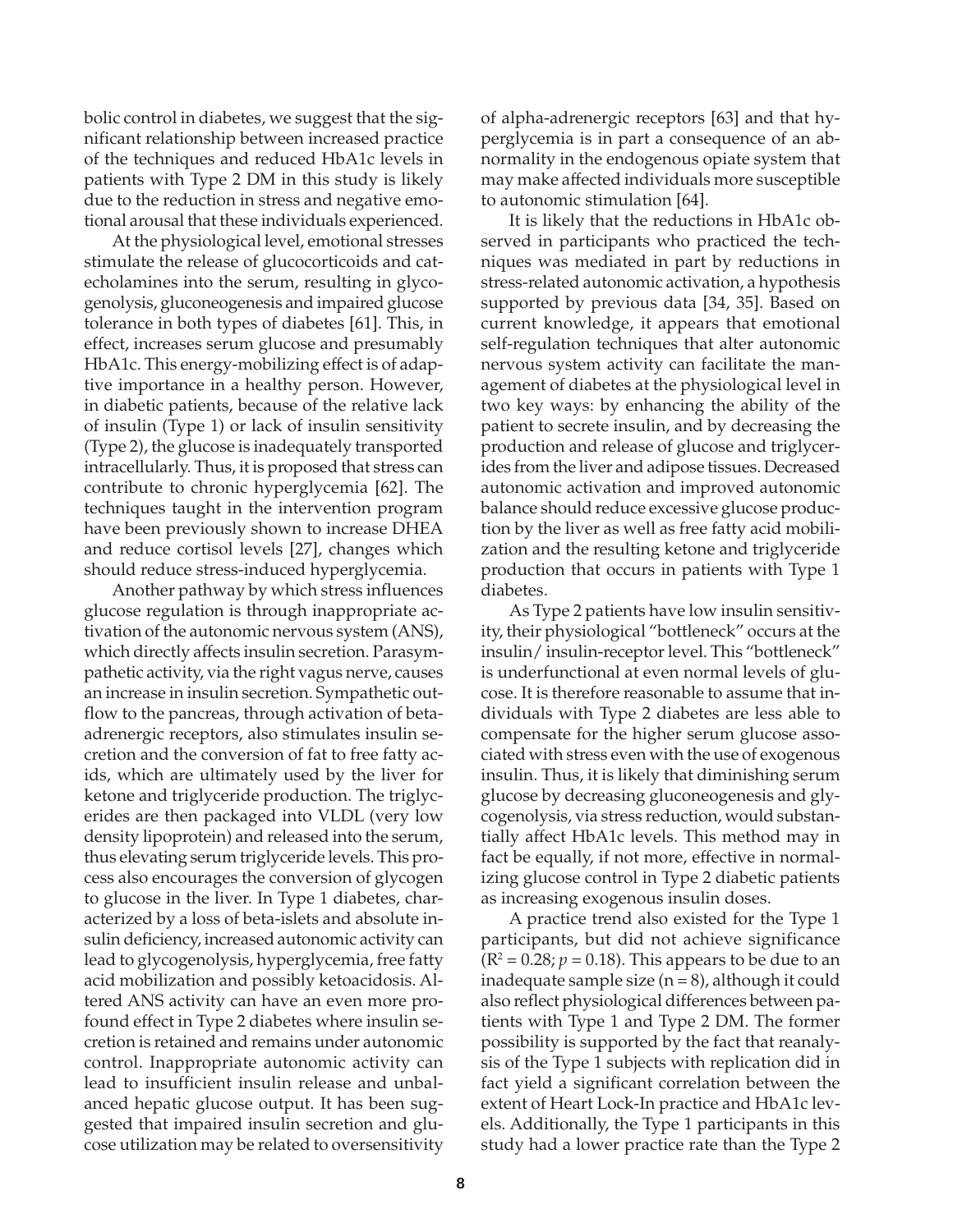bolic control in diabetes, we suggest that the significant relationship between increased practice of the techniques and reduced HbA1c levels in patients with Type 2 DM in this study is likely due to the reduction in stress and negative emotional arousal that these individuals experienced.

At the physiological level, emotional stresses stimulate the release of glucocorticoids and catecholamines into the serum, resulting in glycogenolysis, gluconeogenesis and impaired glucose tolerance in both types of diabetes [61]. This, in effect, increases serum glucose and presumably HbA1c. This energy-mobilizing effect is of adaptive importance in a healthy person. However, in diabetic patients, because of the relative lack of insulin (Type 1) or lack of insulin sensitivity (Type 2), the glucose is inadequately transported intracellularly. Thus, it is proposed that stress can contribute to chronic hyperglycemia [62]. The techniques taught in the intervention program have been previously shown to increase DHEA and reduce cortisol levels [27], changes which should reduce stress-induced hyperglycemia.

Another pathway by which stress influences glucose regulation is through inappropriate activation of the autonomic nervous system (ANS), which directly affects insulin secretion. Parasympathetic activity, via the right vagus nerve, causes an increase in insulin secretion. Sympathetic outflow to the pancreas, through activation of betaadrenergic receptors, also stimulates insulin secretion and the conversion of fat to free fatty acids, which are ultimately used by the liver for ketone and triglyceride production. The triglycerides are then packaged into VLDL (very low density lipoprotein) and released into the serum, thus elevating serum triglyceride levels. This process also encourages the conversion of glycogen to glucose in the liver. In Type 1 diabetes, characterized by a loss of beta-islets and absolute insulin deficiency, increased autonomic activity can lead to glycogenolysis, hyperglycemia, free fatty acid mobilization and possibly ketoacidosis. Altered ANS activity can have an even more profound effect in Type 2 diabetes where insulin secretion is retained and remains under autonomic control. Inappropriate autonomic activity can lead to insufficient insulin release and unbalanced hepatic glucose output. It has been suggested that impaired insulin secretion and glucose utilization may be related to oversensitivity

of alpha-adrenergic receptors [63] and that hyperglycemia is in part a consequence of an abnormality in the endogenous opiate system that may make affected individuals more susceptible to autonomic stimulation [64].

It is likely that the reductions in HbA1c observed in participants who practiced the techniques was mediated in part by reductions in stress-related autonomic activation, a hypothesis supported by previous data [34, 35]. Based on current knowledge, it appears that emotional self-regulation techniques that alter autonomic nervous system activity can facilitate the management of diabetes at the physiological level in two key ways: by enhancing the ability of the patient to secrete insulin, and by decreasing the production and release of glucose and triglycerides from the liver and adipose tissues. Decreased autonomic activation and improved autonomic balance should reduce excessive glucose production by the liver as well as free fatty acid mobilization and the resulting ketone and triglyceride production that occurs in patients with Type 1 diabetes.

As Type 2 patients have low insulin sensitivity, their physiological "bottleneck" occurs at the insulin/ insulin-receptor level. This "bottleneck" is underfunctional at even normal levels of glucose. It is therefore reasonable to assume that individuals with Type 2 diabetes are less able to compensate for the higher serum glucose associated with stress even with the use of exogenous insulin. Thus, it is likely that diminishing serum glucose by decreasing gluconeogenesis and glycogenolysis, via stress reduction, would substantially affect HbA1c levels. This method may in fact be equally, if not more, effective in normalizing glucose control in Type 2 diabetic patients as increasing exogenous insulin doses.

A practice trend also existed for the Type 1 participants, but did not achieve significance  $(R^2 = 0.28; p = 0.18)$ . This appears to be due to an inadequate sample size  $(n = 8)$ , although it could also reflect physiological differences between patients with Type 1 and Type 2 DM. The former possibility is supported by the fact that reanalysis of the Type 1 subjects with replication did in fact yield a significant correlation between the extent of Heart Lock-In practice and HbA1c levels. Additionally, the Type 1 participants in this study had a lower practice rate than the Type 2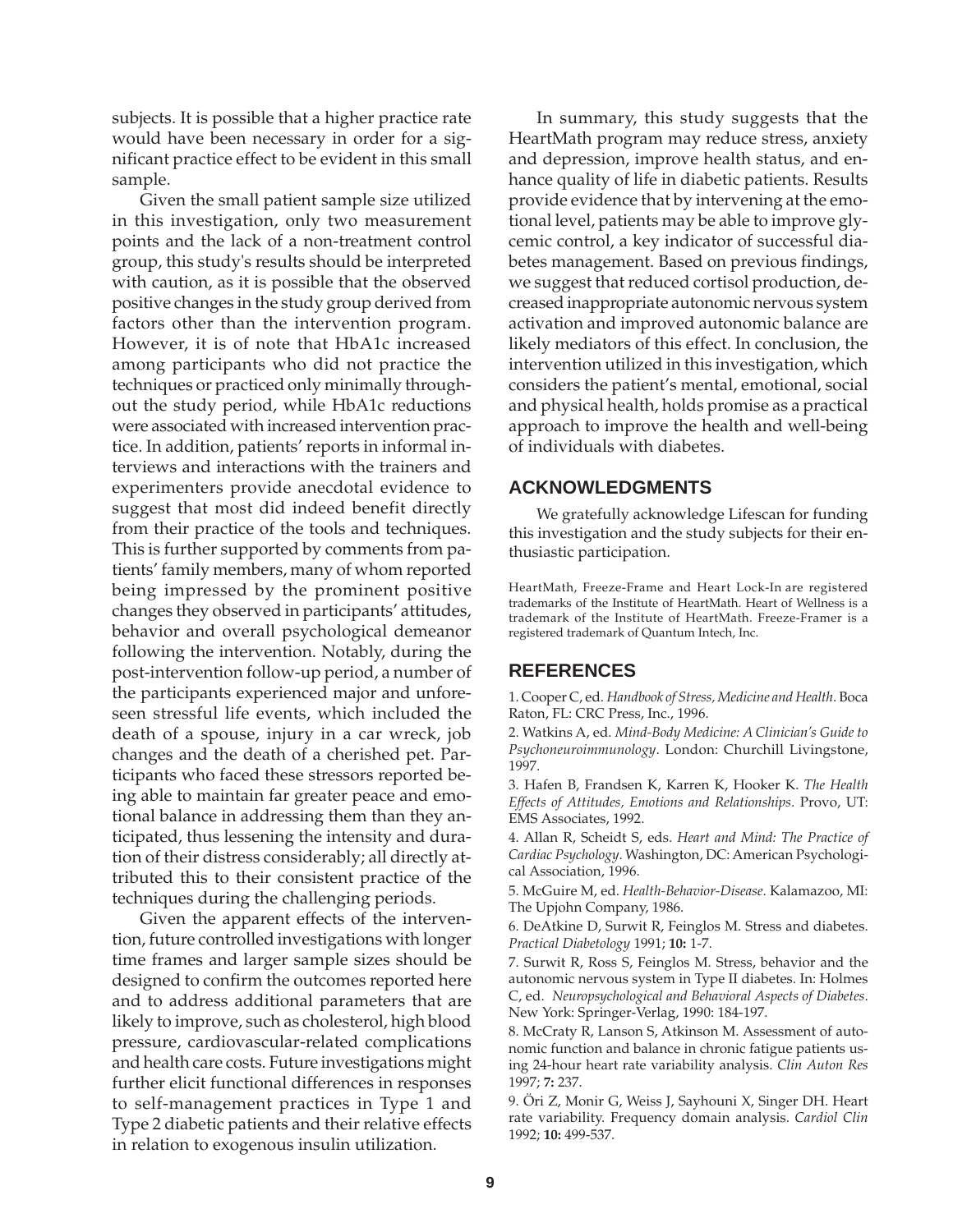subjects. It is possible that a higher practice rate would have been necessary in order for a significant practice effect to be evident in this small sample.

Given the small patient sample size utilized in this investigation, only two measurement points and the lack of a non-treatment control group, this study's results should be interpreted with caution, as it is possible that the observed positive changes in the study group derived from factors other than the intervention program. However, it is of note that HbA1c increased among participants who did not practice the techniques or practiced only minimally throughout the study period, while HbA1c reductions were associated with increased intervention practice. In addition, patients' reports in informal interviews and interactions with the trainers and experimenters provide anecdotal evidence to suggest that most did indeed benefit directly from their practice of the tools and techniques. This is further supported by comments from patients' family members, many of whom reported being impressed by the prominent positive changes they observed in participants' attitudes, behavior and overall psychological demeanor following the intervention. Notably, during the post-intervention follow-up period, a number of the participants experienced major and unforeseen stressful life events, which included the death of a spouse, injury in a car wreck, job changes and the death of a cherished pet. Participants who faced these stressors reported being able to maintain far greater peace and emotional balance in addressing them than they anticipated, thus lessening the intensity and duration of their distress considerably; all directly attributed this to their consistent practice of the techniques during the challenging periods.

Given the apparent effects of the intervention, future controlled investigations with longer time frames and larger sample sizes should be designed to confirm the outcomes reported here and to address additional parameters that are likely to improve, such as cholesterol, high blood pressure, cardiovascular-related complications and health care costs. Future investigations might further elicit functional differences in responses to self-management practices in Type 1 and Type 2 diabetic patients and their relative effects in relation to exogenous insulin utilization.

In summary, this study suggests that the HeartMath program may reduce stress, anxiety and depression, improve health status, and enhance quality of life in diabetic patients. Results provide evidence that by intervening at the emotional level, patients may be able to improve glycemic control, a key indicator of successful diabetes management. Based on previous findings, we suggest that reduced cortisol production, decreased inappropriate autonomic nervous system activation and improved autonomic balance are likely mediators of this effect. In conclusion, the intervention utilized in this investigation, which considers the patient's mental, emotional, social and physical health, holds promise as a practical approach to improve the health and well-being of individuals with diabetes.

# **ACKNOWLEDGMENTS**

We gratefully acknowledge Lifescan for funding this investigation and the study subjects for their enthusiastic participation.

HeartMath, Freeze-Frame and Heart Lock-In are registered trademarks of the Institute of HeartMath. Heart of Wellness is a trademark of the Institute of HeartMath. Freeze-Framer is a registered trademark of Quantum Intech, Inc.

# **REFERENCES**

1. Cooper C, ed. *Handbook of Stress, Medicine and Health*. Boca Raton, FL: CRC Press, Inc., 1996.

2. Watkins A, ed. *Mind-Body Medicine: A Clinician's Guide to Psychoneuroimmunology*. London: Churchill Livingstone, 1997.

3. Hafen B, Frandsen K, Karren K, Hooker K. *The Health Effects of Attitudes, Emotions and Relationships*. Provo, UT: EMS Associates, 1992.

4. Allan R, Scheidt S, eds. *Heart and Mind: The Practice of Cardiac Psychology*. Washington, DC: American Psychological Association, 1996.

5. McGuire M, ed. *Health-Behavior-Disease*. Kalamazoo, MI: The Upjohn Company, 1986.

6. DeAtkine D, Surwit R, Feinglos M. Stress and diabetes. *Practical Diabetology* 1991; **10:** 1-7.

7. Surwit R, Ross S, Feinglos M. Stress, behavior and the autonomic nervous system in Type II diabetes. In: Holmes C, ed. *Neuropsychological and Behavioral Aspects of Diabetes*. New York: Springer-Verlag, 1990: 184-197.

8. McCraty R, Lanson S, Atkinson M. Assessment of autonomic function and balance in chronic fatigue patients using 24-hour heart rate variability analysis. *Clin Auton Res* 1997; **7:** 237.

9. Öri Z, Monir G, Weiss J, Sayhouni X, Singer DH. Heart rate variability. Frequency domain analysis. *Cardiol Clin* 1992; **10:** 499-537.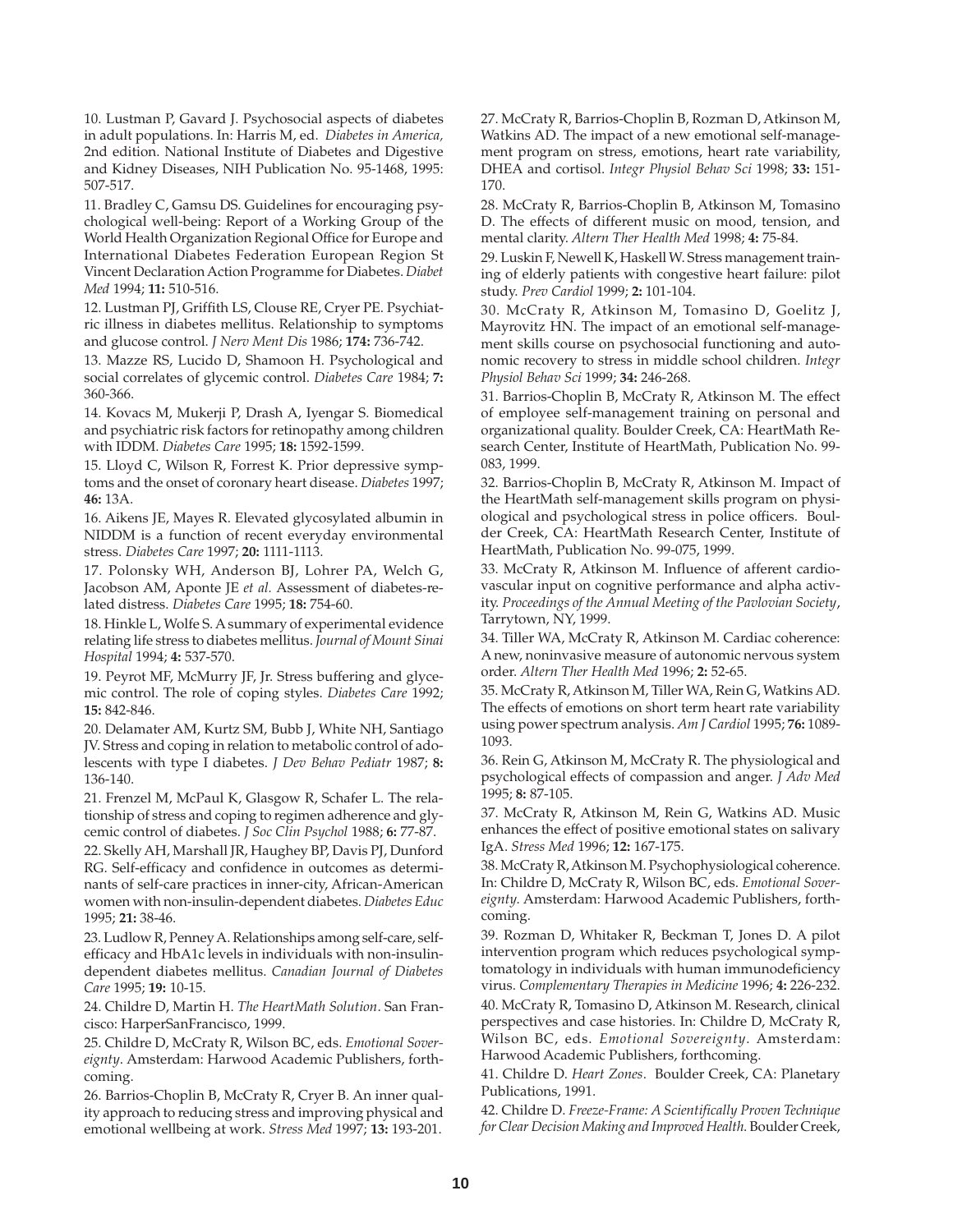10. Lustman P, Gavard J. Psychosocial aspects of diabetes in adult populations. In: Harris M, ed. *Diabetes in America,* 2nd edition. National Institute of Diabetes and Digestive and Kidney Diseases, NIH Publication No. 95-1468, 1995: 507-517.

11. Bradley C, Gamsu DS. Guidelines for encouraging psychological well-being: Report of a Working Group of the World Health Organization Regional Office for Europe and International Diabetes Federation European Region St Vincent Declaration Action Programme for Diabetes. *Diabet Med* 1994; **11:** 510-516.

12. Lustman PJ, Griffith LS, Clouse RE, Cryer PE. Psychiatric illness in diabetes mellitus. Relationship to symptoms and glucose control. *J Nerv Ment Dis* 1986; **174:** 736-742.

13. Mazze RS, Lucido D, Shamoon H. Psychological and social correlates of glycemic control. *Diabetes Care* 1984; **7:** 360-366.

14. Kovacs M, Mukerji P, Drash A, Iyengar S. Biomedical and psychiatric risk factors for retinopathy among children with IDDM. *Diabetes Care* 1995; **18:** 1592-1599.

15. Lloyd C, Wilson R, Forrest K. Prior depressive symptoms and the onset of coronary heart disease. *Diabetes* 1997; **46:** 13A.

16. Aikens JE, Mayes R. Elevated glycosylated albumin in NIDDM is a function of recent everyday environmental stress. *Diabetes Care* 1997; **20:** 1111-1113.

17. Polonsky WH, Anderson BJ, Lohrer PA, Welch G, Jacobson AM, Aponte JE *et al.* Assessment of diabetes-related distress. *Diabetes Care* 1995; **18:** 754-60.

18. Hinkle L, Wolfe S. A summary of experimental evidence relating life stress to diabetes mellitus. *Journal of Mount Sinai Hospital* 1994; **4:** 537-570.

19. Peyrot MF, McMurry JF, Jr. Stress buffering and glycemic control. The role of coping styles. *Diabetes Care* 1992; **15:** 842-846.

20. Delamater AM, Kurtz SM, Bubb J, White NH, Santiago JV. Stress and coping in relation to metabolic control of adolescents with type I diabetes. *J Dev Behav Pediatr* 1987; **8:** 136-140.

21. Frenzel M, McPaul K, Glasgow R, Schafer L. The relationship of stress and coping to regimen adherence and glycemic control of diabetes. *J Soc Clin Psychol* 1988; **6:** 77-87.

22. Skelly AH, Marshall JR, Haughey BP, Davis PJ, Dunford RG. Self-efficacy and confidence in outcomes as determinants of self-care practices in inner-city, African-American women with non-insulin-dependent diabetes. *Diabetes Educ* 1995; **21:** 38-46.

23. Ludlow R, Penney A. Relationships among self-care, selfefficacy and HbA1c levels in individuals with non-insulindependent diabetes mellitus. *Canadian Journal of Diabetes Care* 1995; **19:** 10-15.

24. Childre D, Martin H. *The HeartMath Solution*. San Francisco: HarperSanFrancisco, 1999.

25. Childre D, McCraty R, Wilson BC, eds. *Emotional Sovereignty*. Amsterdam: Harwood Academic Publishers, forthcoming.

26. Barrios-Choplin B, McCraty R, Cryer B. An inner quality approach to reducing stress and improving physical and emotional wellbeing at work. *Stress Med* 1997; **13:** 193-201. 27. McCraty R, Barrios-Choplin B, Rozman D, Atkinson M, Watkins AD. The impact of a new emotional self-management program on stress, emotions, heart rate variability, DHEA and cortisol. *Integr Physiol Behav Sci* 1998; **33:** 151- 170.

28. McCraty R, Barrios-Choplin B, Atkinson M, Tomasino D. The effects of different music on mood, tension, and mental clarity. *Altern Ther Health Med* 1998; **4:** 75-84.

29. Luskin F, Newell K, Haskell W. Stress management training of elderly patients with congestive heart failure: pilot study. *Prev Cardiol* 1999; **2:** 101-104.

30. McCraty R, Atkinson M, Tomasino D, Goelitz J, Mayrovitz HN. The impact of an emotional self-management skills course on psychosocial functioning and autonomic recovery to stress in middle school children. *Integr Physiol Behav Sci* 1999; **34:** 246-268.

31. Barrios-Choplin B, McCraty R, Atkinson M. The effect of employee self-management training on personal and organizational quality. Boulder Creek, CA: HeartMath Research Center, Institute of HeartMath, Publication No. 99- 083, 1999.

32. Barrios-Choplin B, McCraty R, Atkinson M. Impact of the HeartMath self-management skills program on physiological and psychological stress in police officers. Boulder Creek, CA: HeartMath Research Center, Institute of HeartMath, Publication No. 99-075, 1999.

33. McCraty R, Atkinson M. Influence of afferent cardiovascular input on cognitive performance and alpha activity. *Proceedings of the Annual Meeting of the Pavlovian Society*, Tarrytown, NY, 1999.

34. Tiller WA, McCraty R, Atkinson M. Cardiac coherence: A new, noninvasive measure of autonomic nervous system order. *Altern Ther Health Med* 1996; **2:** 52-65.

35. McCraty R, Atkinson M, Tiller WA, Rein G, Watkins AD. The effects of emotions on short term heart rate variability using power spectrum analysis. *Am J Cardiol* 1995; **76:** 1089- 1093.

36. Rein G, Atkinson M, McCraty R. The physiological and psychological effects of compassion and anger. *J Adv Med* 1995; **8:** 87-105.

37. McCraty R, Atkinson M, Rein G, Watkins AD. Music enhances the effect of positive emotional states on salivary IgA. *Stress Med* 1996; **12:** 167-175.

38. McCraty R, Atkinson M. Psychophysiological coherence. In: Childre D, McCraty R, Wilson BC, eds. *Emotional Sovereignty*. Amsterdam: Harwood Academic Publishers, forthcoming.

39. Rozman D, Whitaker R, Beckman T, Jones D. A pilot intervention program which reduces psychological symptomatology in individuals with human immunodeficiency virus. *Complementary Therapies in Medicine* 1996; **4:** 226-232.

40. McCraty R, Tomasino D, Atkinson M. Research, clinical perspectives and case histories. In: Childre D, McCraty R, Wilson BC, eds. *Emotional Sovereignty*. Amsterdam: Harwood Academic Publishers, forthcoming.

41. Childre D. *Heart Zones*. Boulder Creek, CA: Planetary Publications, 1991.

42. Childre D. *Freeze-Frame: A Scientifically Proven Technique for Clear Decision Making and Improved Health*. Boulder Creek,